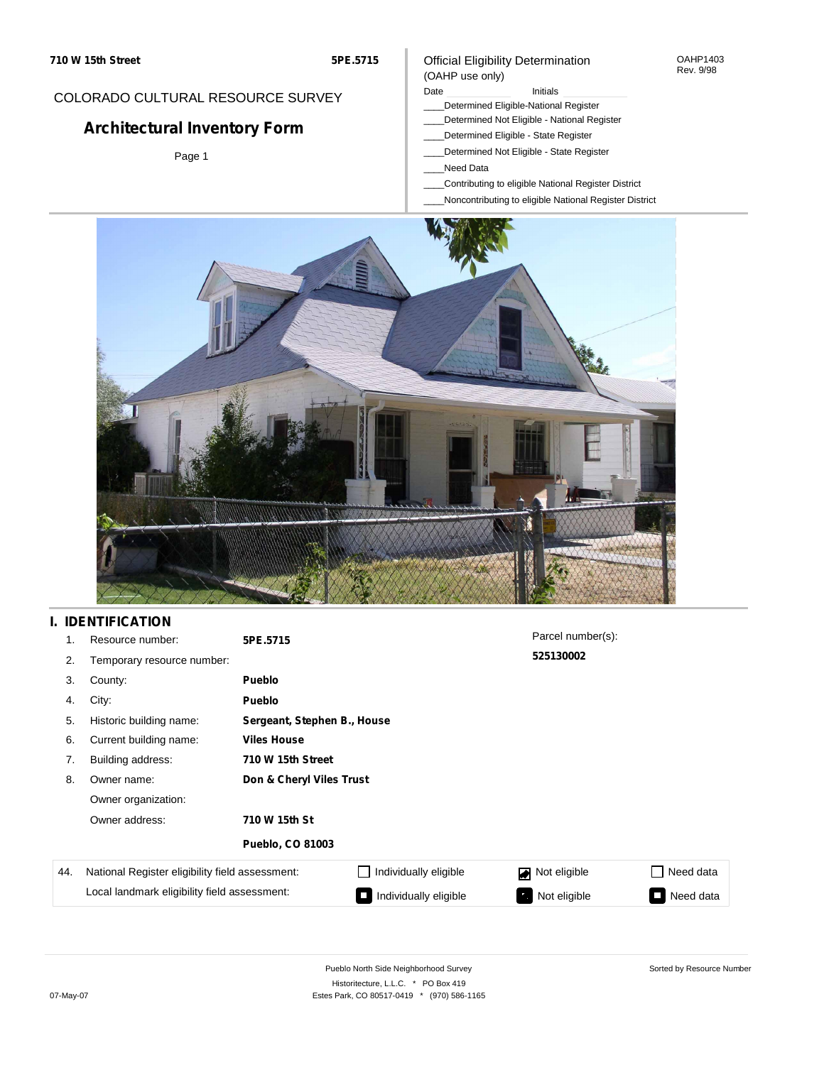#### Official Eligibility Determination (OAHP use only)

OAHP1403 Rev. 9/98

## COLORADO CULTURAL RESOURCE SURVEY

# **Architectural Inventory Form**

Page 1

#### Date **Initials** Initials

- \_\_\_\_Determined Eligible-National Register
- \_\_\_\_Determined Not Eligible National Register
- \_\_\_\_Determined Eligible State Register
- \_\_\_\_Determined Not Eligible State Register
- \_\_\_\_Need Data
- \_\_\_\_Contributing to eligible National Register District
- \_\_\_\_Noncontributing to eligible National Register District



## **I. IDENTIFICATION**

| 1.  | Resource number:                                | 5PE.5715                 |                             | Parcel number(s): |                             |  |  |  |
|-----|-------------------------------------------------|--------------------------|-----------------------------|-------------------|-----------------------------|--|--|--|
| 2.  | Temporary resource number:                      |                          |                             | 525130002         |                             |  |  |  |
| 3.  | County:                                         | <b>Pueblo</b>            |                             |                   |                             |  |  |  |
| 4.  | City:                                           | <b>Pueblo</b>            |                             |                   |                             |  |  |  |
| 5.  | Historic building name:                         |                          | Sergeant, Stephen B., House |                   |                             |  |  |  |
| 6.  | Current building name:                          | <b>Viles House</b>       |                             |                   |                             |  |  |  |
| 7.  | Building address:                               | 710 W 15th Street        |                             |                   |                             |  |  |  |
| 8.  | Owner name:                                     | Don & Cheryl Viles Trust |                             |                   |                             |  |  |  |
|     | Owner organization:                             |                          |                             |                   |                             |  |  |  |
|     | Owner address:                                  | 710 W 15th St            |                             |                   |                             |  |  |  |
|     |                                                 | <b>Pueblo, CO 81003</b>  |                             |                   |                             |  |  |  |
| 44. | National Register eligibility field assessment: |                          | Individually eligible       | Not eligible      | Need data<br>$\blacksquare$ |  |  |  |
|     | Local landmark eligibility field assessment:    |                          | Individually eligible       | Not eligible      | Need data<br>L.             |  |  |  |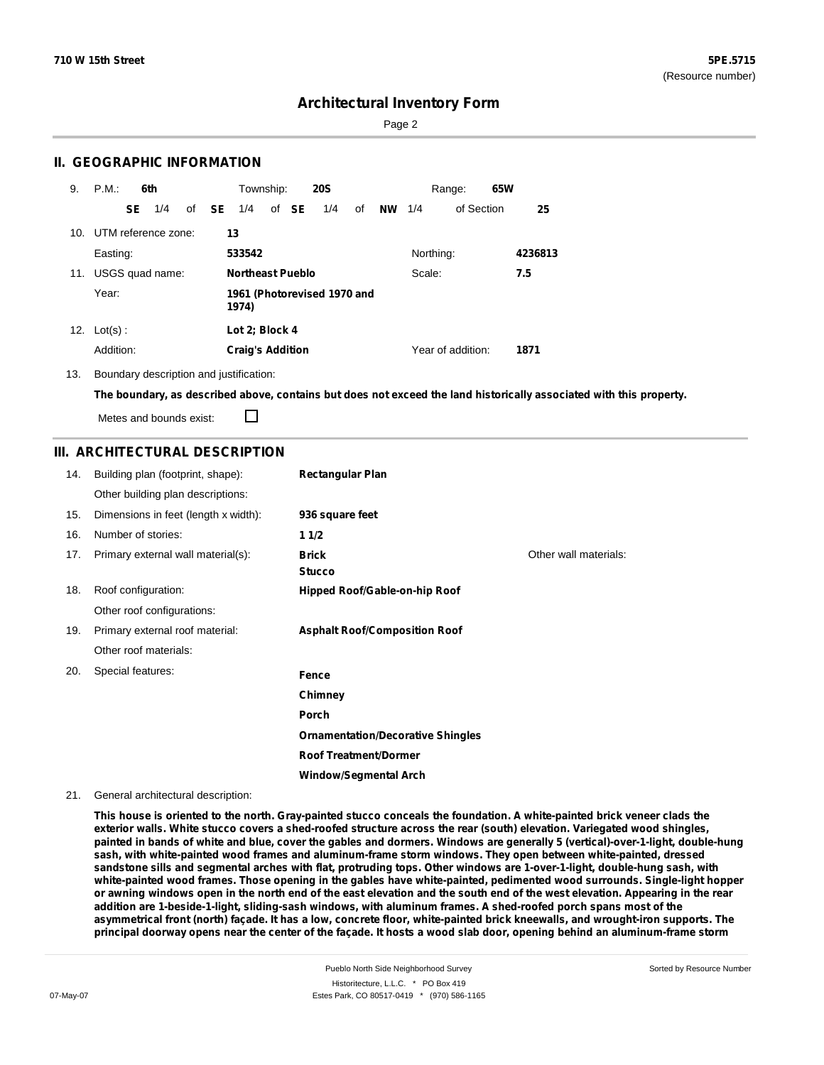Sorted by Resource Number

### **Architectural Inventory Form**

Page 2

#### **II. GEOGRAPHIC INFORMATION**

| 9.  | P.M.       |           | 6th                     |              | Township:               |       | <b>20S</b>                  |    |           |           | Range:            | 65W |         |
|-----|------------|-----------|-------------------------|--------------|-------------------------|-------|-----------------------------|----|-----------|-----------|-------------------|-----|---------|
|     |            | <b>SE</b> | 1/4                     | of <b>SE</b> | 1/4                     | of SE | 1/4                         | of | <b>NW</b> | 1/4       | of Section        |     | 25      |
|     |            |           | 10. UTM reference zone: |              | 13                      |       |                             |    |           |           |                   |     |         |
|     | Easting:   |           |                         |              | 533542                  |       |                             |    |           | Northing: |                   |     | 4236813 |
| 11. |            |           | USGS quad name:         |              | Northeast Pueblo        |       |                             |    |           | Scale:    |                   |     | 7.5     |
|     | Year:      |           |                         |              | 1974)                   |       | 1961 (Photorevised 1970 and |    |           |           |                   |     |         |
| 12. | $Lot(s)$ : |           |                         |              | Lot 2; Block 4          |       |                             |    |           |           |                   |     |         |
|     | Addition:  |           |                         |              | <b>Craig's Addition</b> |       |                             |    |           |           | Year of addition: |     | 1871    |

13. Boundary description and justification:

The boundary, as described above, contains but does not exceed the land historically associated with this property.

Metes and bounds exist:

П

### **III. ARCHITECTURAL DESCRIPTION**

| 14. | Building plan (footprint, shape):    | <b>Rectangular Plan</b>                  |                       |
|-----|--------------------------------------|------------------------------------------|-----------------------|
|     | Other building plan descriptions:    |                                          |                       |
| 15. | Dimensions in feet (length x width): | 936 square feet                          |                       |
| 16. | Number of stories:                   | 11/2                                     |                       |
| 17. | Primary external wall material(s):   | <b>Brick</b>                             | Other wall materials: |
|     |                                      | <b>Stucco</b>                            |                       |
| 18. | Roof configuration:                  | Hipped Roof/Gable-on-hip Roof            |                       |
|     | Other roof configurations:           |                                          |                       |
| 19. | Primary external roof material:      | <b>Asphalt Roof/Composition Roof</b>     |                       |
|     | Other roof materials:                |                                          |                       |
| 20. | Special features:                    | Fence                                    |                       |
|     |                                      | Chimney                                  |                       |
|     |                                      | Porch                                    |                       |
|     |                                      | <b>Ornamentation/Decorative Shingles</b> |                       |
|     |                                      | <b>Roof Treatment/Dormer</b>             |                       |
|     |                                      | <b>Window/Segmental Arch</b>             |                       |

21. General architectural description:

This house is oriented to the north. Gray-painted stucco conceals the foundation. A white-painted brick veneer clads the exterior walls. White stucco covers a shed-roofed structure across the rear (south) elevation. Variegated wood shingles, painted in bands of white and blue, cover the gables and dormers. Windows are generally 5 (vertical)-over-1-light, double-hung **sash, with white-painted wood frames and aluminum-frame storm windows. They open between white-painted, dressed** sandstone sills and segmental arches with flat, protruding tops. Other windows are 1-over-1-light, double-hung sash, with white-painted wood frames. Those opening in the gables have white-painted, pedimented wood surrounds. Single-light hopper or awning windows open in the north end of the east elevation and the south end of the west elevation. Appearing in the rear **addition are 1-beside-1-light, sliding-sash windows, with aluminum frames. A shed-roofed porch spans most of the** asymmetrical front (north) façade. It has a low, concrete floor, white-painted brick kneewalls, and wrought-iron supports. The principal doorway opens near the center of the façade. It hosts a wood slab door, opening behind an aluminum-frame storm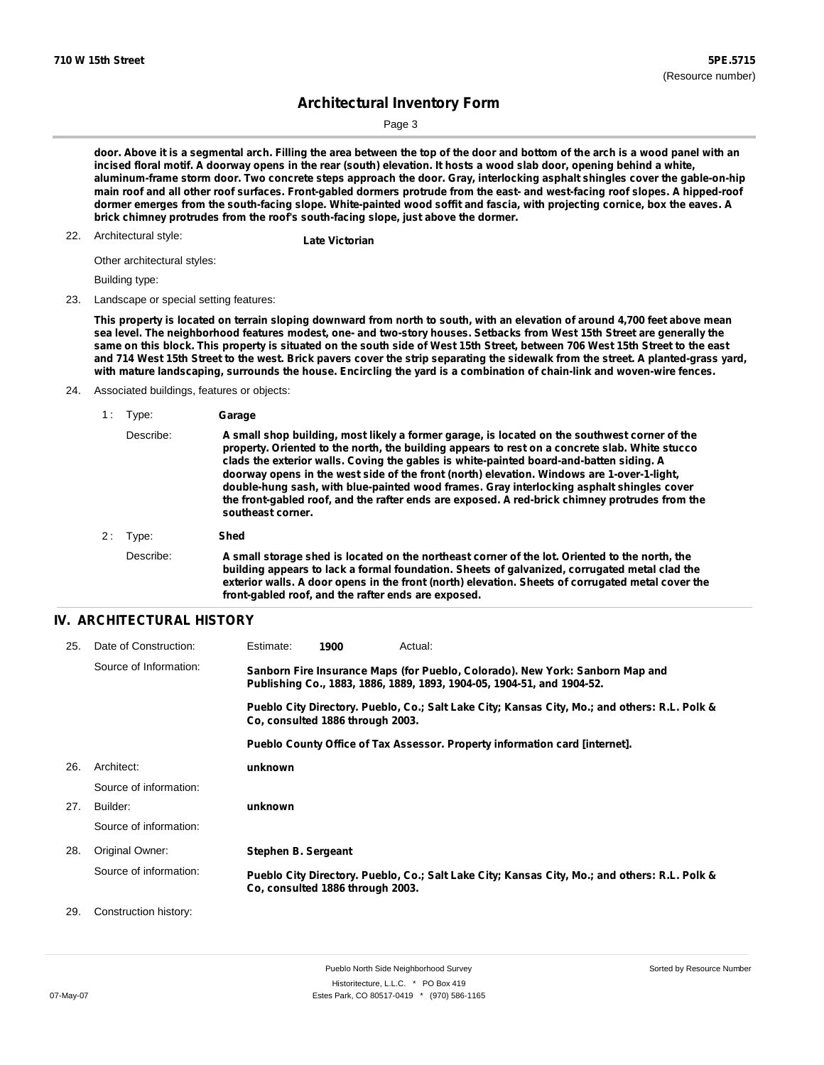Page 3

door. Above it is a segmental arch. Filling the area between the top of the door and bottom of the arch is a wood panel with an incised floral motif. A doorway opens in the rear (south) elevation. It hosts a wood slab door, opening behind a white, aluminum-frame storm door. Two concrete steps approach the door. Gray, interlocking asphalt shingles cover the gable-on-hip main roof and all other roof surfaces. Front-gabled dormers protrude from the east- and west-facing roof slopes. A hipped-roof dormer emerges from the south-facing slope. White-painted wood soffit and fascia, with projecting cornice, box the eaves. A **brick chimney protrudes from the roof's south-facing slope, just above the dormer.**

## Architectural style: 22. **Late Victorian**

Other architectural styles:

Building type:

23. Landscape or special setting features:

This property is located on terrain sloping downward from north to south, with an elevation of around 4,700 feet above mean sea level. The neighborhood features modest, one- and two-story houses. Setbacks from West 15th Street are generally the same on this block. This property is situated on the south side of West 15th Street, between 706 West 15th Street to the east and 714 West 15th Street to the west. Brick pavers cover the strip separating the sidewalk from the street. A planted-grass yard, with mature landscaping, surrounds the house. Encircling the yard is a combination of chain-link and woven-wire fences.

24. Associated buildings, features or objects:

| 1 : | Type:     | Garage                                                                                                                                                                                                                                                                                                                                                                                                                                                                                                                                                                                                       |
|-----|-----------|--------------------------------------------------------------------------------------------------------------------------------------------------------------------------------------------------------------------------------------------------------------------------------------------------------------------------------------------------------------------------------------------------------------------------------------------------------------------------------------------------------------------------------------------------------------------------------------------------------------|
|     | Describe: | A small shop building, most likely a former garage, is located on the southwest corner of the<br>property. Oriented to the north, the building appears to rest on a concrete slab. White stucco<br>clads the exterior walls. Coving the gables is white-painted board-and-batten siding. A<br>doorway opens in the west side of the front (north) elevation. Windows are 1-over-1-light,<br>double-hung sash, with blue-painted wood frames. Gray interlocking asphalt shingles cover<br>the front-gabled roof, and the rafter ends are exposed. A red-brick chimney protrudes from the<br>southeast corner. |
| 2:  | Type:     | Shed                                                                                                                                                                                                                                                                                                                                                                                                                                                                                                                                                                                                         |
|     | Describe: | A small storage shed is located on the northeast corner of the lot. Oriented to the north, the<br>building appears to lack a formal foundation. Sheets of galvanized, corrugated metal clad the<br>exterior walls. A door opens in the front (north) elevation. Sheets of corrugated metal cover the<br>front-gabled roof, and the rafter ends are exposed.                                                                                                                                                                                                                                                  |

#### **IV. ARCHITECTURAL HISTORY**

| 25. | Date of Construction:  | Estimate:                                                                                                                                               | 1900 | Actual: |                                                                                               |  |  |
|-----|------------------------|---------------------------------------------------------------------------------------------------------------------------------------------------------|------|---------|-----------------------------------------------------------------------------------------------|--|--|
|     | Source of Information: | Sanborn Fire Insurance Maps (for Pueblo, Colorado). New York: Sanborn Map and<br>Publishing Co., 1883, 1886, 1889, 1893, 1904-05, 1904-51, and 1904-52. |      |         |                                                                                               |  |  |
|     |                        | Pueblo City Directory. Pueblo, Co.; Salt Lake City; Kansas City, Mo.; and others: R.L. Polk &<br>Co. consulted 1886 through 2003.                       |      |         |                                                                                               |  |  |
|     |                        |                                                                                                                                                         |      |         | Pueblo County Office of Tax Assessor. Property information card [internet].                   |  |  |
| 26. | Architect:             | unknown                                                                                                                                                 |      |         |                                                                                               |  |  |
|     | Source of information: |                                                                                                                                                         |      |         |                                                                                               |  |  |
| 27. | Builder:               | unknown                                                                                                                                                 |      |         |                                                                                               |  |  |
|     | Source of information: |                                                                                                                                                         |      |         |                                                                                               |  |  |
| 28. | Original Owner:        | Stephen B. Sergeant                                                                                                                                     |      |         |                                                                                               |  |  |
|     | Source of information: | Co. consulted 1886 through 2003.                                                                                                                        |      |         | Pueblo City Directory. Pueblo, Co.; Salt Lake City; Kansas City, Mo.; and others: R.L. Polk & |  |  |
| 29. | Construction history:  |                                                                                                                                                         |      |         |                                                                                               |  |  |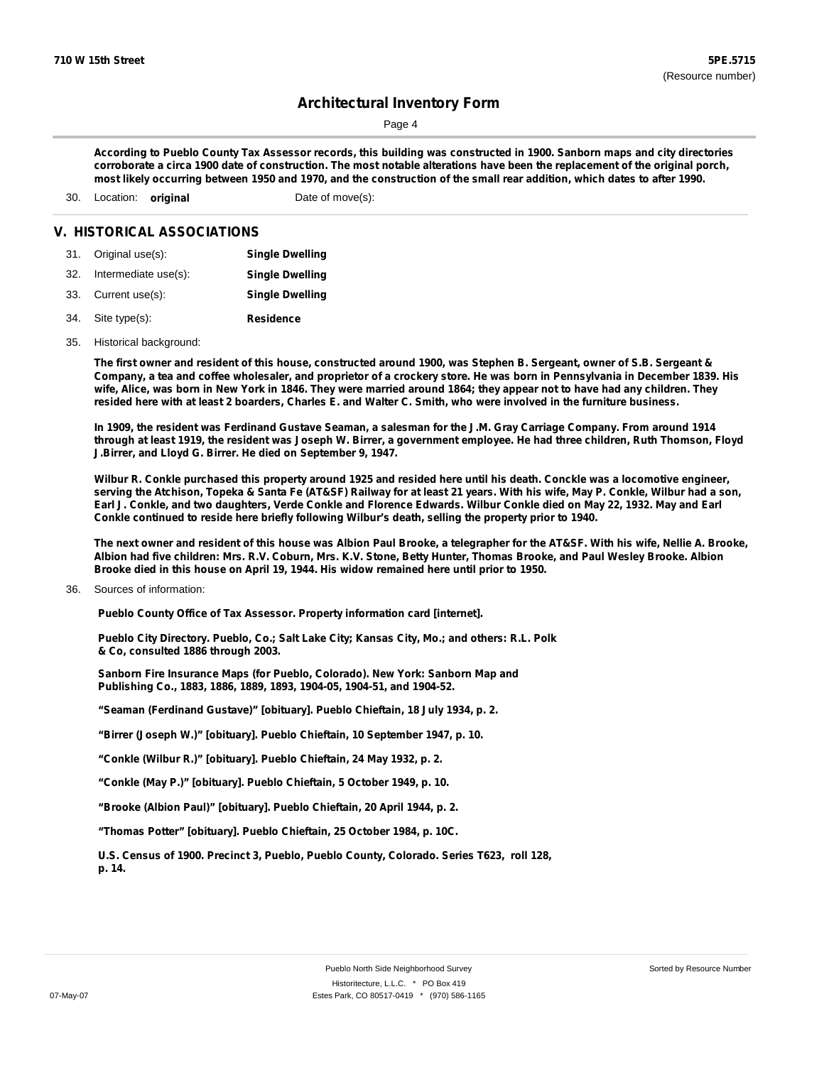Page 4

According to Pueblo County Tax Assessor records, this building was constructed in 1900. Sanborn maps and city directories corroborate a circa 1900 date of construction. The most notable alterations have been the replacement of the original porch, most likely occurring between 1950 and 1970, and the construction of the small rear addition, which dates to after 1990.

30. Location: **original** Date of move(s):

#### **V. HISTORICAL ASSOCIATIONS**

| <b>Single Dwelling</b> |
|------------------------|
|                        |

- 32. Intermediate use(s): **Single Dwelling**
- 33. Current use(s): **Single Dwelling**
- **Residence** Site type(s): 34.
- 35. Historical background:

The first owner and resident of this house, constructed around 1900, was Stephen B. Sergeant, owner of S.B. Sergeant & Company, a tea and coffee wholesaler, and proprietor of a crockery store. He was born in Pennsylvania in December 1839. His wife, Alice, was born in New York in 1846. They were married around 1864; they appear not to have had any children. They resided here with at least 2 boarders, Charles E. and Walter C. Smith, who were involved in the furniture business.

In 1909, the resident was Ferdinand Gustave Seaman, a salesman for the J.M. Gray Carriage Company. From around 1914 through at least 1919, the resident was Joseph W. Birrer, a government employee. He had three children, Ruth Thomson, Floyd **J.Birrer, and Lloyd G. Birrer. He died on September 9, 1947.**

Wilbur R. Conkle purchased this property around 1925 and resided here until his death. Conckle was a locomotive engineer, serving the Atchison, Topeka & Santa Fe (AT&SF) Railway for at least 21 years. With his wife, May P. Conkle, Wilbur had a son, Earl J. Conkle, and two daughters, Verde Conkle and Florence Edwards. Wilbur Conkle died on May 22, 1932. May and Earl **Conkle continued to reside here briefly following Wilbur's death, selling the property prior to 1940.**

The next owner and resident of this house was Albion Paul Brooke, a telegrapher for the AT&SF. With his wife, Nellie A. Brooke, Albion had five children: Mrs. R.V. Coburn, Mrs. K.V. Stone, Betty Hunter, Thomas Brooke, and Paul Wesley Brooke. Albion **Brooke died in this house on April 19, 1944. His widow remained here until prior to 1950.**

Sources of information: 36.

**Pueblo County Office of Tax Assessor. Property information card [internet].**

**Pueblo City Directory. Pueblo, Co.; Salt Lake City; Kansas City, Mo.; and others: R.L. Polk & Co, consulted 1886 through 2003.**

**Sanborn Fire Insurance Maps (for Pueblo, Colorado). New York: Sanborn Map and Publishing Co., 1883, 1886, 1889, 1893, 1904-05, 1904-51, and 1904-52.**

**"Seaman (Ferdinand Gustave)" [obituary]. Pueblo Chieftain, 18 July 1934, p. 2.**

**"Birrer (Joseph W.)" [obituary]. Pueblo Chieftain, 10 September 1947, p. 10.**

**"Conkle (Wilbur R.)" [obituary]. Pueblo Chieftain, 24 May 1932, p. 2.**

**"Conkle (May P.)" [obituary]. Pueblo Chieftain, 5 October 1949, p. 10.**

**"Brooke (Albion Paul)" [obituary]. Pueblo Chieftain, 20 April 1944, p. 2.**

**"Thomas Potter" [obituary]. Pueblo Chieftain, 25 October 1984, p. 10C.**

**U.S. Census of 1900. Precinct 3, Pueblo, Pueblo County, Colorado. Series T623, roll 128, p. 14.**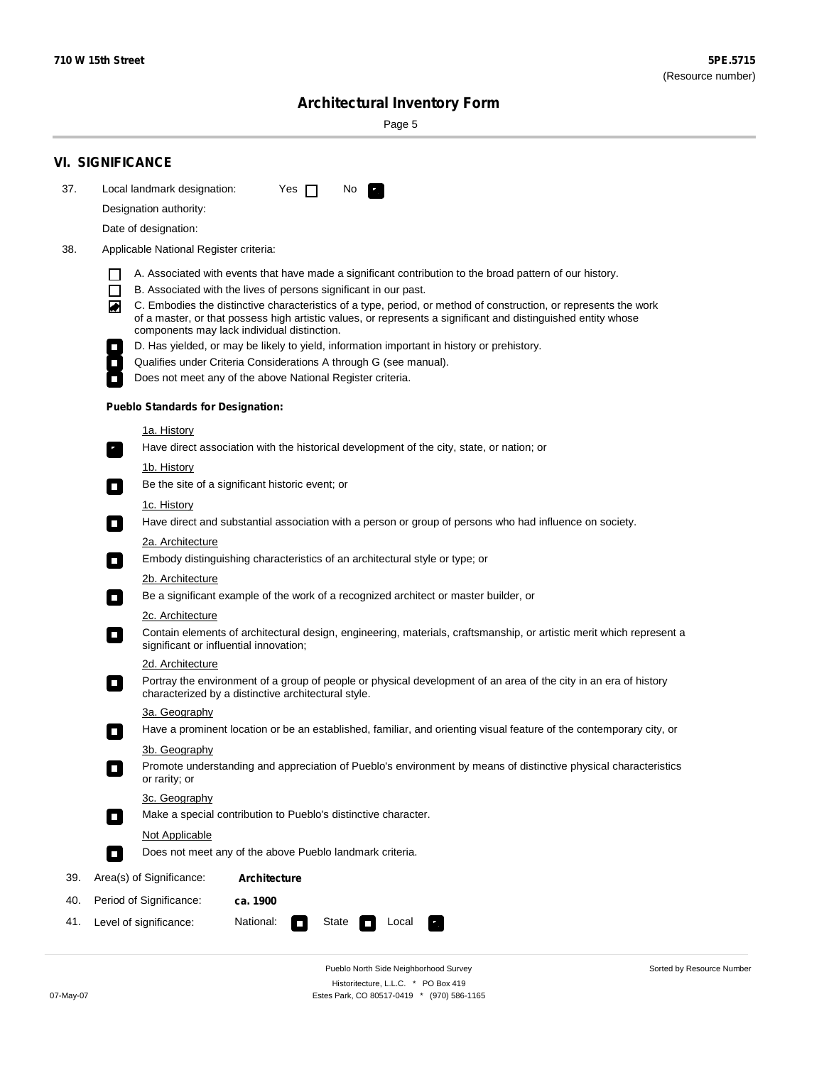۰

Sorted by Resource Number

## **Architectural Inventory Form**

Page 5

|     | <b>VI. SIGNIFICANCE</b>                                                                                                                                                                                                                |  |  |  |  |  |
|-----|----------------------------------------------------------------------------------------------------------------------------------------------------------------------------------------------------------------------------------------|--|--|--|--|--|
| 37. | Local landmark designation:<br>Yes $\Box$<br>No.<br>$\mathbf{r}_\perp$                                                                                                                                                                 |  |  |  |  |  |
|     | Designation authority:                                                                                                                                                                                                                 |  |  |  |  |  |
|     | Date of designation:                                                                                                                                                                                                                   |  |  |  |  |  |
| 38. | Applicable National Register criteria:                                                                                                                                                                                                 |  |  |  |  |  |
|     |                                                                                                                                                                                                                                        |  |  |  |  |  |
|     | A. Associated with events that have made a significant contribution to the broad pattern of our history.<br>B. Associated with the lives of persons significant in our past.<br>l I                                                    |  |  |  |  |  |
|     | C. Embodies the distinctive characteristics of a type, period, or method of construction, or represents the work<br>◚<br>of a master, or that possess high artistic values, or represents a significant and distinguished entity whose |  |  |  |  |  |
|     | components may lack individual distinction.<br>D. Has yielded, or may be likely to yield, information important in history or prehistory.                                                                                              |  |  |  |  |  |
|     | Qualifies under Criteria Considerations A through G (see manual).                                                                                                                                                                      |  |  |  |  |  |
|     | Does not meet any of the above National Register criteria.                                                                                                                                                                             |  |  |  |  |  |
|     | <b>Pueblo Standards for Designation:</b>                                                                                                                                                                                               |  |  |  |  |  |
|     | <u>1a. History</u>                                                                                                                                                                                                                     |  |  |  |  |  |
|     | Have direct association with the historical development of the city, state, or nation; or<br>$\mathbf{r}_\perp$                                                                                                                        |  |  |  |  |  |
|     | <u>1b. History</u><br>Be the site of a significant historic event; or<br>$\blacksquare$                                                                                                                                                |  |  |  |  |  |
|     | 1c. History                                                                                                                                                                                                                            |  |  |  |  |  |
|     | Have direct and substantial association with a person or group of persons who had influence on society.<br>$\blacksquare$                                                                                                              |  |  |  |  |  |
|     | 2a. Architecture                                                                                                                                                                                                                       |  |  |  |  |  |
|     | Embody distinguishing characteristics of an architectural style or type; or<br>$\Box$                                                                                                                                                  |  |  |  |  |  |
|     | 2b. Architecture                                                                                                                                                                                                                       |  |  |  |  |  |
|     | Be a significant example of the work of a recognized architect or master builder, or<br>$\mathcal{L}_{\mathcal{A}}$                                                                                                                    |  |  |  |  |  |
|     | 2c. Architecture                                                                                                                                                                                                                       |  |  |  |  |  |
|     | Contain elements of architectural design, engineering, materials, craftsmanship, or artistic merit which represent a<br>$\mathcal{L}_{\mathcal{A}}$<br>significant or influential innovation;                                          |  |  |  |  |  |
|     | 2d. Architecture                                                                                                                                                                                                                       |  |  |  |  |  |
|     | Portray the environment of a group of people or physical development of an area of the city in an era of history<br>$\mathcal{L}_{\mathcal{A}}$<br>characterized by a distinctive architectural style.                                 |  |  |  |  |  |
|     | 3a. Geography                                                                                                                                                                                                                          |  |  |  |  |  |
|     | Have a prominent location or be an established, familiar, and orienting visual feature of the contemporary city, or<br>П                                                                                                               |  |  |  |  |  |
|     | 3b. Geography                                                                                                                                                                                                                          |  |  |  |  |  |
|     | Promote understanding and appreciation of Pueblo's environment by means of distinctive physical characteristics<br>or rarity; or                                                                                                       |  |  |  |  |  |
|     | 3c. Geography                                                                                                                                                                                                                          |  |  |  |  |  |
|     | Make a special contribution to Pueblo's distinctive character.<br>$\overline{\phantom{a}}$                                                                                                                                             |  |  |  |  |  |
|     | Not Applicable                                                                                                                                                                                                                         |  |  |  |  |  |
|     | Does not meet any of the above Pueblo landmark criteria.<br>$\overline{\phantom{a}}$                                                                                                                                                   |  |  |  |  |  |
| 39. | Area(s) of Significance:<br><b>Architecture</b>                                                                                                                                                                                        |  |  |  |  |  |
| 40. | Period of Significance:<br>ca. 1900                                                                                                                                                                                                    |  |  |  |  |  |
| 41. | National:<br>Level of significance:<br>State<br>Local                                                                                                                                                                                  |  |  |  |  |  |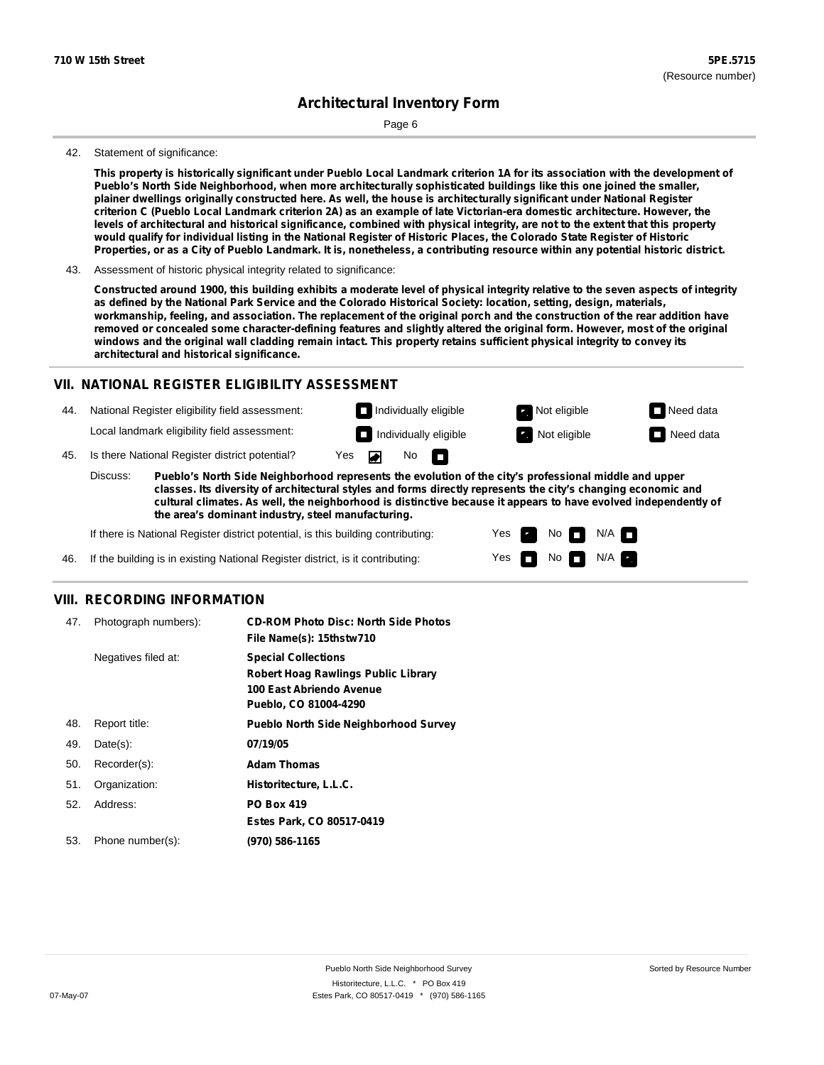Page 6

#### 42. Statement of significance:

This property is historically significant under Pueblo Local Landmark criterion 1A for its association with the development of **Pueblo's North Side Neighborhood, when more architecturally sophisticated buildings like this one joined the smaller,** plainer dwellings originally constructed here. As well, the house is architecturally significant under National Register criterion C (Pueblo Local Landmark criterion 2A) as an example of late Victorian-era domestic architecture. However, the levels of architectural and historical significance, combined with physical integrity, are not to the extent that this property would qualify for individual listing in the National Register of Historic Places, the Colorado State Register of Historic Properties, or as a City of Pueblo Landmark. It is, nonetheless, a contributing resource within any potential historic district.

Constructed around 1900, this building exhibits a moderate level of physical integrity relative to the seven aspects of integrity as defined by the National Park Service and the Colorado Historical Society: location, setting, design, materials, workmanship, feeling, and association. The replacement of the original porch and the construction of the rear addition have removed or concealed some character-defining features and slightly altered the original form. However, most of the original windows and the original wall cladding remain intact. This property retains sufficient physical integrity to convey its **architectural and historical significance.**

#### **VII. NATIONAL REGISTER ELIGIBILITY ASSESSMENT**

44. National Register eligibility field assessment: Local landmark eligibility field assessment:

**Individually eligible Not eligible** Not eligible **Need data Individually eligible Not eligible** Not eligible **Need data** No m

> Yes Yes

No

 $No$   $\neg$   $N/A$ 

 $N/A$ 

45. Is there National Register district potential? Yes

**Pueblo's North Side Neighborhood represents the evolution of the city's professional middle and upper classes. Its diversity of architectural styles and forms directly represents the city's changing economic and cultural climates. As well, the neighborhood is distinctive because it appears to have evolved independently of the area's dominant industry, steel manufacturing.** Discuss:

If there is National Register district potential, is this building contributing:

If the building is in existing National Register district, is it contributing: 46.

#### **VIII. RECORDING INFORMATION**

| 47. | Photograph numbers): | <b>CD-ROM Photo Disc: North Side Photos</b><br>File Name(s): 15thstw710                                                       |
|-----|----------------------|-------------------------------------------------------------------------------------------------------------------------------|
|     | Negatives filed at:  | <b>Special Collections</b><br><b>Robert Hoag Rawlings Public Library</b><br>100 East Abriendo Avenue<br>Pueblo, CO 81004-4290 |
| 48. | Report title:        | <b>Pueblo North Side Neighborhood Survey</b>                                                                                  |
| 49. | $Date(s)$ :          | 07/19/05                                                                                                                      |
| 50. | Recorder(s):         | <b>Adam Thomas</b>                                                                                                            |
| 51. | Organization:        | Historitecture, L.L.C.                                                                                                        |
| 52. | Address:             | <b>PO Box 419</b>                                                                                                             |
|     |                      | Estes Park, CO 80517-0419                                                                                                     |
| 53. | Phone number(s):     | (970) 586-1165                                                                                                                |

<sup>43.</sup> Assessment of historic physical integrity related to significance: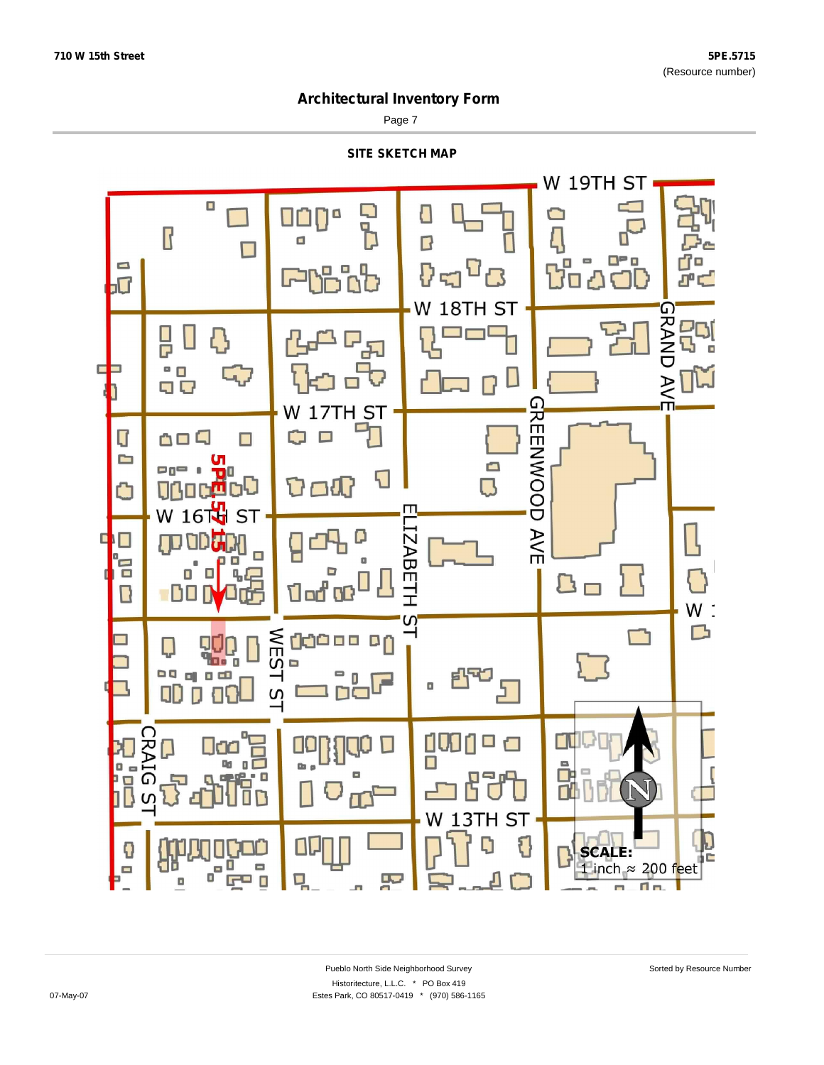Page 7